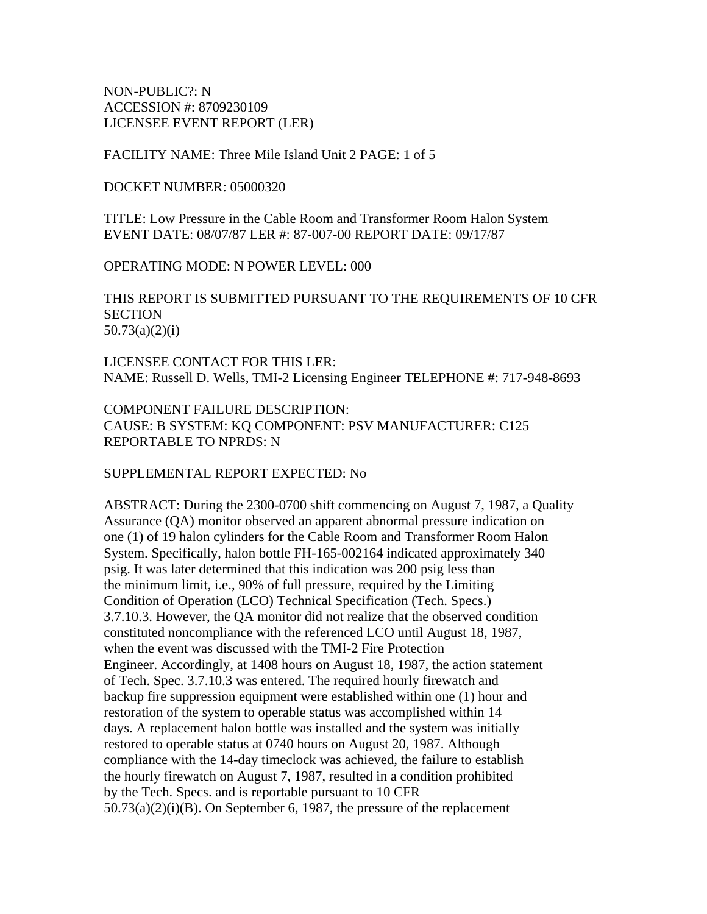NON-PUBLIC?: N ACCESSION #: 8709230109 LICENSEE EVENT REPORT (LER)

FACILITY NAME: Three Mile Island Unit 2 PAGE: 1 of 5

DOCKET NUMBER: 05000320

TITLE: Low Pressure in the Cable Room and Transformer Room Halon System EVENT DATE: 08/07/87 LER #: 87-007-00 REPORT DATE: 09/17/87

OPERATING MODE: N POWER LEVEL: 000

THIS REPORT IS SUBMITTED PURSUANT TO THE REQUIREMENTS OF 10 CFR **SECTION** 50.73(a)(2)(i)

LICENSEE CONTACT FOR THIS LER: NAME: Russell D. Wells, TMI-2 Licensing Engineer TELEPHONE #: 717-948-8693

COMPONENT FAILURE DESCRIPTION: CAUSE: B SYSTEM: KQ COMPONENT: PSV MANUFACTURER: C125 REPORTABLE TO NPRDS: N

SUPPLEMENTAL REPORT EXPECTED: No

ABSTRACT: During the 2300-0700 shift commencing on August 7, 1987, a Quality Assurance (QA) monitor observed an apparent abnormal pressure indication on one (1) of 19 halon cylinders for the Cable Room and Transformer Room Halon System. Specifically, halon bottle FH-165-002164 indicated approximately 340 psig. It was later determined that this indication was 200 psig less than the minimum limit, i.e., 90% of full pressure, required by the Limiting Condition of Operation (LCO) Technical Specification (Tech. Specs.) 3.7.10.3. However, the QA monitor did not realize that the observed condition constituted noncompliance with the referenced LCO until August 18, 1987, when the event was discussed with the TMI-2 Fire Protection Engineer. Accordingly, at 1408 hours on August 18, 1987, the action statement of Tech. Spec. 3.7.10.3 was entered. The required hourly firewatch and backup fire suppression equipment were established within one (1) hour and restoration of the system to operable status was accomplished within 14 days. A replacement halon bottle was installed and the system was initially restored to operable status at 0740 hours on August 20, 1987. Although compliance with the 14-day timeclock was achieved, the failure to establish the hourly firewatch on August 7, 1987, resulted in a condition prohibited by the Tech. Specs. and is reportable pursuant to 10 CFR  $50.73(a)(2)(i)(B)$ . On September 6, 1987, the pressure of the replacement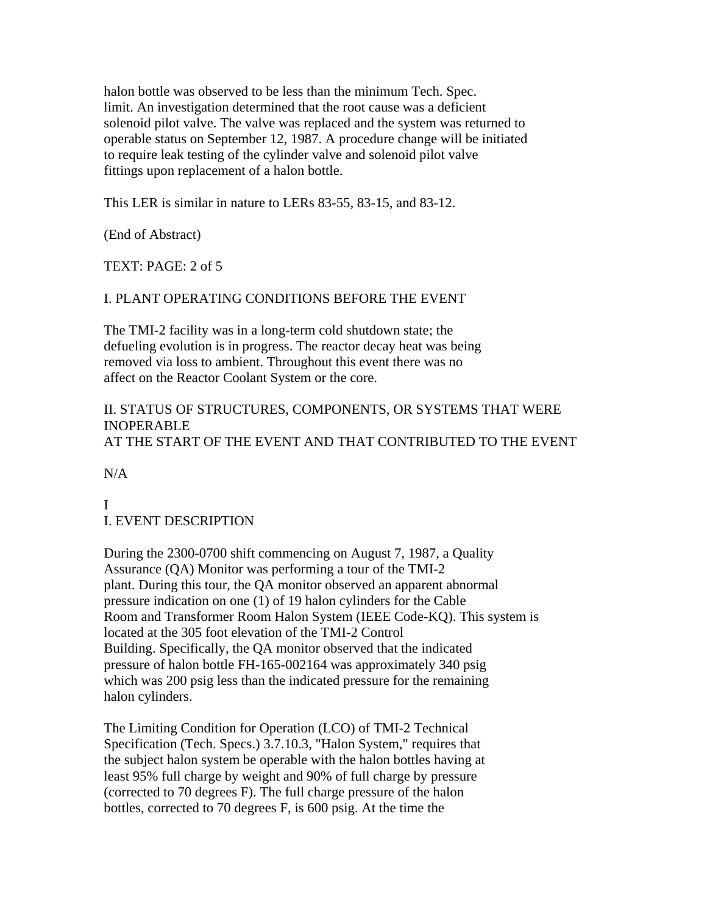halon bottle was observed to be less than the minimum Tech. Spec. limit. An investigation determined that the root cause was a deficient solenoid pilot valve. The valve was replaced and the system was returned to operable status on September 12, 1987. A procedure change will be initiated to require leak testing of the cylinder valve and solenoid pilot valve fittings upon replacement of a halon bottle.

This LER is similar in nature to LERs 83-55, 83-15, and 83-12.

(End of Abstract)

TEXT: PAGE: 2 of 5

### I. PLANT OPERATING CONDITIONS BEFORE THE EVENT

The TMI-2 facility was in a long-term cold shutdown state; the defueling evolution is in progress. The reactor decay heat was being removed via loss to ambient. Throughout this event there was no affect on the Reactor Coolant System or the core.

# II. STATUS OF STRUCTURES, COMPONENTS, OR SYSTEMS THAT WERE INOPERABLE AT THE START OF THE EVENT AND THAT CONTRIBUTED TO THE EVENT

N/A

I I. EVENT DESCRIPTION

During the 2300-0700 shift commencing on August 7, 1987, a Quality Assurance (QA) Monitor was performing a tour of the TMI-2 plant. During this tour, the QA monitor observed an apparent abnormal pressure indication on one (1) of 19 halon cylinders for the Cable Room and Transformer Room Halon System (IEEE Code-KQ). This system is located at the 305 foot elevation of the TMI-2 Control Building. Specifically, the QA monitor observed that the indicated pressure of halon bottle FH-165-002164 was approximately 340 psig which was 200 psig less than the indicated pressure for the remaining halon cylinders.

The Limiting Condition for Operation (LCO) of TMI-2 Technical Specification (Tech. Specs.) 3.7.10.3, "Halon System," requires that the subject halon system be operable with the halon bottles having at least 95% full charge by weight and 90% of full charge by pressure (corrected to 70 degrees F). The full charge pressure of the halon bottles, corrected to 70 degrees F, is 600 psig. At the time the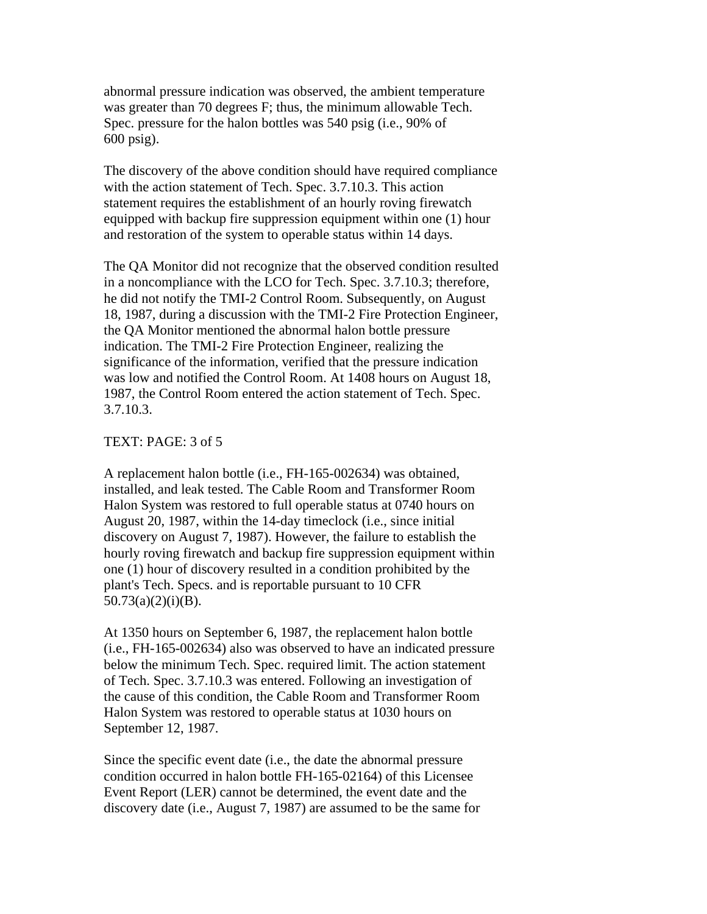abnormal pressure indication was observed, the ambient temperature was greater than 70 degrees F; thus, the minimum allowable Tech. Spec. pressure for the halon bottles was 540 psig (i.e., 90% of 600 psig).

The discovery of the above condition should have required compliance with the action statement of Tech. Spec. 3.7.10.3. This action statement requires the establishment of an hourly roving firewatch equipped with backup fire suppression equipment within one (1) hour and restoration of the system to operable status within 14 days.

The QA Monitor did not recognize that the observed condition resulted in a noncompliance with the LCO for Tech. Spec. 3.7.10.3; therefore, he did not notify the TMI-2 Control Room. Subsequently, on August 18, 1987, during a discussion with the TMI-2 Fire Protection Engineer, the QA Monitor mentioned the abnormal halon bottle pressure indication. The TMI-2 Fire Protection Engineer, realizing the significance of the information, verified that the pressure indication was low and notified the Control Room. At 1408 hours on August 18, 1987, the Control Room entered the action statement of Tech. Spec. 3.7.10.3.

#### TEXT: PAGE: 3 of 5

A replacement halon bottle (i.e., FH-165-002634) was obtained, installed, and leak tested. The Cable Room and Transformer Room Halon System was restored to full operable status at 0740 hours on August 20, 1987, within the 14-day timeclock (i.e., since initial discovery on August 7, 1987). However, the failure to establish the hourly roving firewatch and backup fire suppression equipment within one (1) hour of discovery resulted in a condition prohibited by the plant's Tech. Specs. and is reportable pursuant to 10 CFR  $50.73(a)(2)(i)(B)$ .

At 1350 hours on September 6, 1987, the replacement halon bottle (i.e., FH-165-002634) also was observed to have an indicated pressure below the minimum Tech. Spec. required limit. The action statement of Tech. Spec. 3.7.10.3 was entered. Following an investigation of the cause of this condition, the Cable Room and Transformer Room Halon System was restored to operable status at 1030 hours on September 12, 1987.

Since the specific event date (i.e., the date the abnormal pressure condition occurred in halon bottle FH-165-02164) of this Licensee Event Report (LER) cannot be determined, the event date and the discovery date (i.e., August 7, 1987) are assumed to be the same for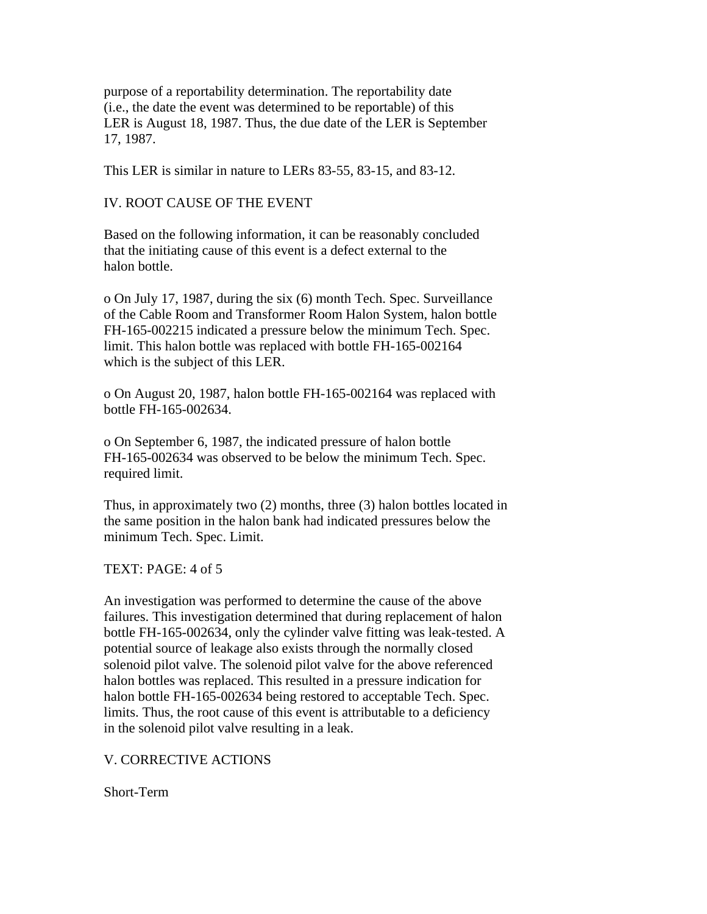purpose of a reportability determination. The reportability date (i.e., the date the event was determined to be reportable) of this LER is August 18, 1987. Thus, the due date of the LER is September 17, 1987.

This LER is similar in nature to LERs 83-55, 83-15, and 83-12.

#### IV. ROOT CAUSE OF THE EVENT

Based on the following information, it can be reasonably concluded that the initiating cause of this event is a defect external to the halon bottle.

o On July 17, 1987, during the six (6) month Tech. Spec. Surveillance of the Cable Room and Transformer Room Halon System, halon bottle FH-165-002215 indicated a pressure below the minimum Tech. Spec. limit. This halon bottle was replaced with bottle FH-165-002164 which is the subject of this LER.

o On August 20, 1987, halon bottle FH-165-002164 was replaced with bottle FH-165-002634.

o On September 6, 1987, the indicated pressure of halon bottle FH-165-002634 was observed to be below the minimum Tech. Spec. required limit.

Thus, in approximately two (2) months, three (3) halon bottles located in the same position in the halon bank had indicated pressures below the minimum Tech. Spec. Limit.

TEXT: PAGE: 4 of 5

An investigation was performed to determine the cause of the above failures. This investigation determined that during replacement of halon bottle FH-165-002634, only the cylinder valve fitting was leak-tested. A potential source of leakage also exists through the normally closed solenoid pilot valve. The solenoid pilot valve for the above referenced halon bottles was replaced. This resulted in a pressure indication for halon bottle FH-165-002634 being restored to acceptable Tech. Spec. limits. Thus, the root cause of this event is attributable to a deficiency in the solenoid pilot valve resulting in a leak.

#### V. CORRECTIVE ACTIONS

Short-Term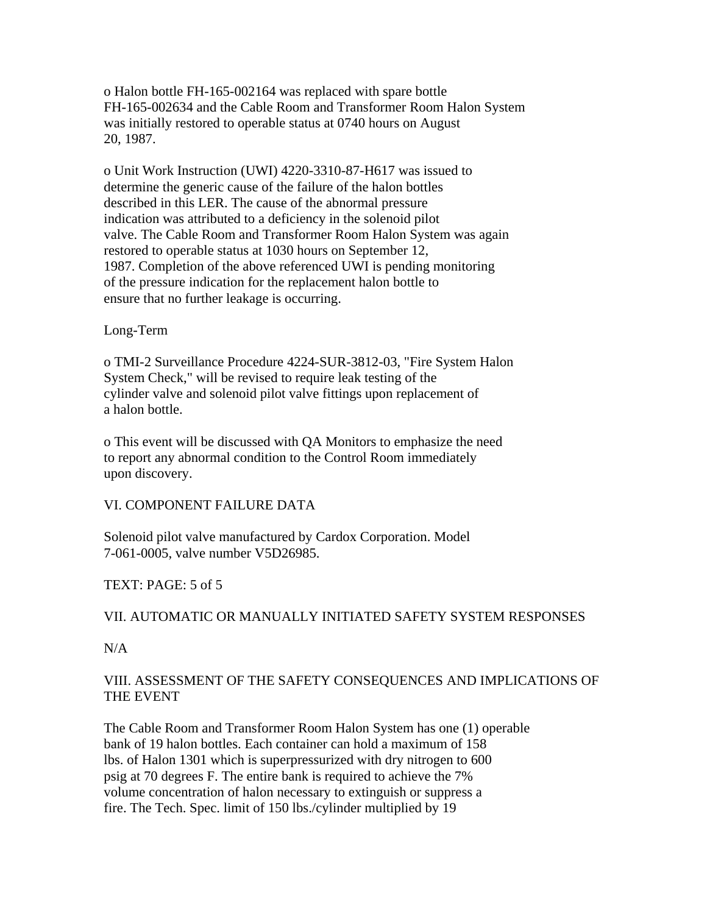o Halon bottle FH-165-002164 was replaced with spare bottle FH-165-002634 and the Cable Room and Transformer Room Halon System was initially restored to operable status at 0740 hours on August 20, 1987.

o Unit Work Instruction (UWI) 4220-3310-87-H617 was issued to determine the generic cause of the failure of the halon bottles described in this LER. The cause of the abnormal pressure indication was attributed to a deficiency in the solenoid pilot valve. The Cable Room and Transformer Room Halon System was again restored to operable status at 1030 hours on September 12, 1987. Completion of the above referenced UWI is pending monitoring of the pressure indication for the replacement halon bottle to ensure that no further leakage is occurring.

#### Long-Term

o TMI-2 Surveillance Procedure 4224-SUR-3812-03, "Fire System Halon System Check," will be revised to require leak testing of the cylinder valve and solenoid pilot valve fittings upon replacement of a halon bottle.

o This event will be discussed with QA Monitors to emphasize the need to report any abnormal condition to the Control Room immediately upon discovery.

# VI. COMPONENT FAILURE DATA

Solenoid pilot valve manufactured by Cardox Corporation. Model 7-061-0005, valve number V5D26985.

# TEXT: PAGE: 5 of 5

# VII. AUTOMATIC OR MANUALLY INITIATED SAFETY SYSTEM RESPONSES

N/A

# VIII. ASSESSMENT OF THE SAFETY CONSEQUENCES AND IMPLICATIONS OF THE EVENT

The Cable Room and Transformer Room Halon System has one (1) operable bank of 19 halon bottles. Each container can hold a maximum of 158 lbs. of Halon 1301 which is superpressurized with dry nitrogen to 600 psig at 70 degrees F. The entire bank is required to achieve the 7% volume concentration of halon necessary to extinguish or suppress a fire. The Tech. Spec. limit of 150 lbs./cylinder multiplied by 19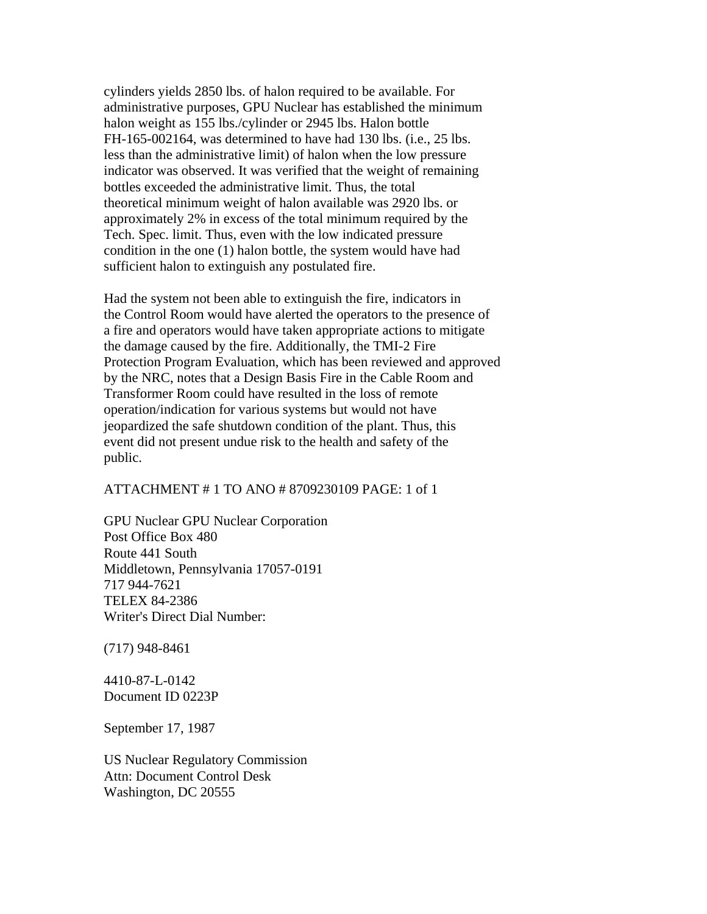cylinders yields 2850 lbs. of halon required to be available. For administrative purposes, GPU Nuclear has established the minimum halon weight as 155 lbs./cylinder or 2945 lbs. Halon bottle FH-165-002164, was determined to have had 130 lbs. (i.e., 25 lbs. less than the administrative limit) of halon when the low pressure indicator was observed. It was verified that the weight of remaining bottles exceeded the administrative limit. Thus, the total theoretical minimum weight of halon available was 2920 lbs. or approximately 2% in excess of the total minimum required by the Tech. Spec. limit. Thus, even with the low indicated pressure condition in the one (1) halon bottle, the system would have had sufficient halon to extinguish any postulated fire.

Had the system not been able to extinguish the fire, indicators in the Control Room would have alerted the operators to the presence of a fire and operators would have taken appropriate actions to mitigate the damage caused by the fire. Additionally, the TMI-2 Fire Protection Program Evaluation, which has been reviewed and approved by the NRC, notes that a Design Basis Fire in the Cable Room and Transformer Room could have resulted in the loss of remote operation/indication for various systems but would not have jeopardized the safe shutdown condition of the plant. Thus, this event did not present undue risk to the health and safety of the public.

### ATTACHMENT # 1 TO ANO # 8709230109 PAGE: 1 of 1

GPU Nuclear GPU Nuclear Corporation Post Office Box 480 Route 441 South Middletown, Pennsylvania 17057-0191 717 944-7621 TELEX 84-2386 Writer's Direct Dial Number:

(717) 948-8461

4410-87-L-0142 Document ID 0223P

September 17, 1987

US Nuclear Regulatory Commission Attn: Document Control Desk Washington, DC 20555